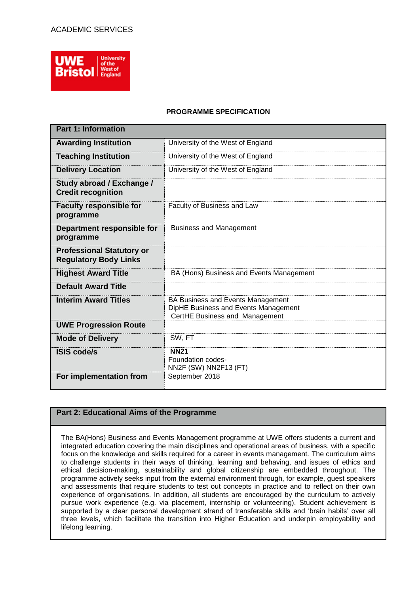

# **PROGRAMME SPECIFICATION**

| <b>Part 1: Information</b>                                       |                                                                                                             |  |  |  |  |  |  |
|------------------------------------------------------------------|-------------------------------------------------------------------------------------------------------------|--|--|--|--|--|--|
| <b>Awarding Institution</b>                                      | University of the West of England                                                                           |  |  |  |  |  |  |
| <b>Teaching Institution</b>                                      | University of the West of England                                                                           |  |  |  |  |  |  |
| <b>Delivery Location</b>                                         | University of the West of England                                                                           |  |  |  |  |  |  |
| Study abroad / Exchange /<br><b>Credit recognition</b>           |                                                                                                             |  |  |  |  |  |  |
| <b>Faculty responsible for</b><br>programme                      | Faculty of Business and Law                                                                                 |  |  |  |  |  |  |
| Department responsible for<br>programme                          | <b>Business and Management</b>                                                                              |  |  |  |  |  |  |
| <b>Professional Statutory or</b><br><b>Regulatory Body Links</b> |                                                                                                             |  |  |  |  |  |  |
| <b>Highest Award Title</b>                                       | BA (Hons) Business and Events Management                                                                    |  |  |  |  |  |  |
| <b>Default Award Title</b>                                       |                                                                                                             |  |  |  |  |  |  |
| <b>Interim Award Titles</b>                                      | BA Business and Events Management<br>DipHE Business and Events Management<br>CertHE Business and Management |  |  |  |  |  |  |
| <b>UWE Progression Route</b>                                     |                                                                                                             |  |  |  |  |  |  |
| <b>Mode of Delivery</b>                                          | SW, FT                                                                                                      |  |  |  |  |  |  |
| <b>ISIS code/s</b>                                               | <b>NN21</b><br>Foundation codes-<br>NN2F (SW) NN2F13 (FT)                                                   |  |  |  |  |  |  |
| For implementation from                                          | September 2018                                                                                              |  |  |  |  |  |  |

# **Part 2: Educational Aims of the Programme**

The BA(Hons) Business and Events Management programme at UWE offers students a current and integrated education covering the main disciplines and operational areas of business, with a specific focus on the knowledge and skills required for a career in events management. The curriculum aims to challenge students in their ways of thinking, learning and behaving, and issues of ethics and ethical decision-making, sustainability and global citizenship are embedded throughout. The programme actively seeks input from the external environment through, for example, guest speakers and assessments that require students to test out concepts in practice and to reflect on their own experience of organisations. In addition, all students are encouraged by the curriculum to actively pursue work experience (e.g. via placement, internship or volunteering). Student achievement is supported by a clear personal development strand of transferable skills and 'brain habits' over all three levels, which facilitate the transition into Higher Education and underpin employability and lifelong learning.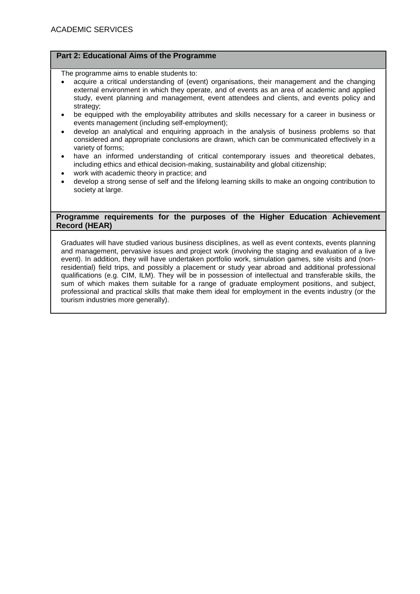# **Part 2: Educational Aims of the Programme**

The programme aims to enable students to:

- acquire a critical understanding of (event) organisations, their management and the changing external environment in which they operate, and of events as an area of academic and applied study, event planning and management, event attendees and clients, and events policy and strategy;
- be equipped with the employability attributes and skills necessary for a career in business or events management (including self-employment);
- develop an analytical and enquiring approach in the analysis of business problems so that considered and appropriate conclusions are drawn, which can be communicated effectively in a variety of forms;
- have an informed understanding of critical contemporary issues and theoretical debates, including ethics and ethical decision-making, sustainability and global citizenship;
- work with academic theory in practice; and
- develop a strong sense of self and the lifelong learning skills to make an ongoing contribution to society at large.

## **Programme requirements for the purposes of the Higher Education Achievement Record (HEAR)**

Graduates will have studied various business disciplines, as well as event contexts, events planning and management, pervasive issues and project work (involving the staging and evaluation of a live event). In addition, they will have undertaken portfolio work, simulation games, site visits and (nonresidential) field trips, and possibly a placement or study year abroad and additional professional qualifications (e.g. CIM, ILM). They will be in possession of intellectual and transferable skills, the sum of which makes them suitable for a range of graduate employment positions, and subject, professional and practical skills that make them ideal for employment in the events industry (or the tourism industries more generally).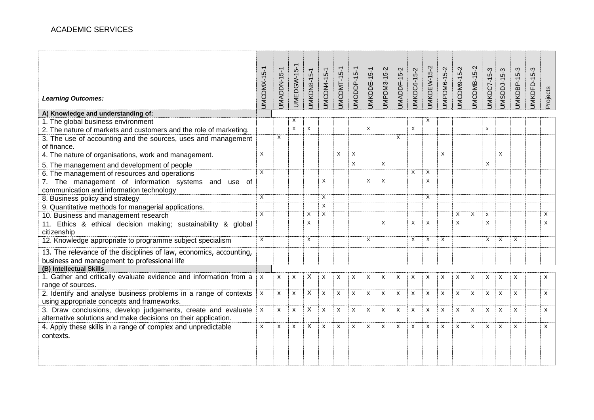| <b>Learning Outcomes:</b>                                                                                                      | UMCDMX-15-1    | <b>UMADDN-15-1</b> | <b>UMEDGW-15-1</b> | <b>JMKDN8-15-1</b> | <b>JMCDN4-15-1</b> | JMCDMT-15-1               | JMODDP-15-1               | JMKDDE-15-1 | JMPDM3-15-2               | JMADDF-15-2 | <b>JMKDC6-15-2</b> | JMKDEW-15-2               | JMPDM6-15-2    | JMCDM9-15-2 | JMCDMB-15-2               | <b>JMKDC7-15-3</b> | JMSDDJ-15-3               | JMKDBP-15-3  | <b>JMKDFD-15-3</b> | Projects     |
|--------------------------------------------------------------------------------------------------------------------------------|----------------|--------------------|--------------------|--------------------|--------------------|---------------------------|---------------------------|-------------|---------------------------|-------------|--------------------|---------------------------|----------------|-------------|---------------------------|--------------------|---------------------------|--------------|--------------------|--------------|
| A) Knowledge and understanding of:                                                                                             |                |                    |                    |                    |                    |                           |                           |             |                           |             |                    |                           |                |             |                           |                    |                           |              |                    |              |
| 1. The global business environment                                                                                             |                |                    | X                  |                    |                    |                           |                           |             |                           |             |                    | Χ                         |                |             |                           |                    |                           |              |                    |              |
| 2. The nature of markets and customers and the role of marketing.                                                              |                |                    | X                  | X                  |                    |                           |                           | X           |                           |             | X                  |                           |                |             |                           | X                  |                           |              |                    |              |
| 3. The use of accounting and the sources, uses and management<br>of finance.                                                   |                | X                  |                    |                    |                    |                           |                           |             |                           | X           |                    |                           |                |             |                           |                    |                           |              |                    |              |
| 4. The nature of organisations, work and management.                                                                           | $\overline{X}$ |                    |                    |                    |                    | X                         | $\overline{X}$            |             |                           |             |                    |                           | $\overline{X}$ |             |                           |                    | $\times$                  |              |                    |              |
| 5. The management and development of people                                                                                    |                |                    |                    |                    |                    |                           | $\times$                  |             | X                         |             |                    |                           |                |             |                           | X                  |                           |              |                    |              |
| 6. The management of resources and operations                                                                                  | $\overline{X}$ |                    |                    |                    |                    |                           |                           |             |                           |             | X                  | X                         |                |             |                           |                    |                           |              |                    |              |
| 7. The management of information systems<br>and use of<br>communication and information technology                             |                |                    |                    |                    | X                  |                           |                           | X           | $\times$                  |             |                    | $\overline{X}$            |                |             |                           |                    |                           |              |                    |              |
| 8. Business policy and strategy                                                                                                | $\overline{X}$ |                    |                    |                    | X                  |                           |                           |             |                           |             |                    | $\overline{X}$            |                |             |                           |                    |                           |              |                    |              |
| 9. Quantitative methods for managerial applications.                                                                           |                |                    |                    |                    | $\overline{X}$     |                           |                           |             |                           |             |                    |                           |                |             |                           |                    |                           |              |                    |              |
| 10. Business and management research                                                                                           | $\overline{X}$ |                    |                    | X                  | $\overline{X}$     |                           |                           |             |                           |             |                    |                           |                | $\times$    | $\overline{X}$            | X                  |                           |              |                    | X            |
| 11. Ethics & ethical decision making; sustainability & global<br>citizenship                                                   |                |                    |                    | Χ                  |                    |                           |                           |             | X                         |             | X                  | X                         |                | $\times$    |                           | X                  |                           |              |                    | $\times$     |
| 12. Knowledge appropriate to programme subject specialism                                                                      | $\times$       |                    |                    | X                  |                    |                           |                           | X           |                           |             | X                  | $\times$                  | $\times$       |             |                           | $\times$           | $\times$                  | X            |                    |              |
| 13. The relevance of the disciplines of law, economics, accounting,<br>business and management to professional life            |                |                    |                    |                    |                    |                           |                           |             |                           |             |                    |                           |                |             |                           |                    |                           |              |                    |              |
| (B) Intellectual Skills                                                                                                        |                |                    |                    |                    |                    |                           |                           |             |                           |             |                    |                           |                |             |                           |                    |                           |              |                    |              |
| 1. Gather and critically evaluate evidence and information from a<br>range of sources.                                         | X              | X                  | X                  | X                  | X                  | X                         | X                         | x           | $\boldsymbol{\mathsf{x}}$ | X           | X                  | X                         | X              | X           | X                         | x                  | X                         | X            |                    | X            |
| 2. Identify and analyse business problems in a range of contexts<br>using appropriate concepts and frameworks.                 | X              | $\mathsf{x}$       | $\mathsf{x}$       | X                  | $\pmb{\mathsf{x}}$ | $\pmb{\times}$            | X                         | x           | $\mathsf{x}$              | X           | $\pmb{\times}$     | $\boldsymbol{\mathsf{x}}$ | X              | X           | $\pmb{\chi}$              | X                  | $\boldsymbol{\mathsf{x}}$ | X            |                    | x            |
| 3. Draw conclusions, develop judgements, create and evaluate<br>alternative solutions and make decisions on their application. | X              | $\mathsf{x}$       | X                  | X                  | X                  | X                         | $\boldsymbol{\mathsf{x}}$ | X           | $\boldsymbol{\mathsf{x}}$ | X           | X                  | $\boldsymbol{\mathsf{x}}$ | X              | X           | $\boldsymbol{\mathsf{x}}$ | $\mathsf{x}$       | $\boldsymbol{\mathsf{x}}$ | $\mathsf{x}$ |                    | $\mathsf{x}$ |
| 4. Apply these skills in a range of complex and unpredictable<br>contexts.                                                     | X              | X                  | X                  | X                  | X                  | $\boldsymbol{\mathsf{x}}$ | X                         | x           | $\mathsf{x}$              | X           | X                  | X                         | X              | X           | $\mathsf{x}$              | $\mathsf{x}$       | $\boldsymbol{\mathsf{x}}$ | X            |                    | X            |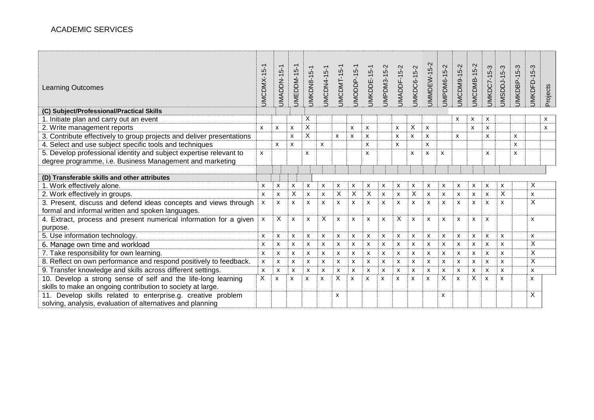| <b>Learning Outcomes</b>                                              | $\overline{ }$<br>ယုံ<br>JMCDMX-1 | $5-1$<br>JMADDN-1         | JMEDDM-15-1 | <b>JMKDN8-15-1</b> | JMCDN4-15-     | JMCDMT-15                 | JMODDP-15      | JMKDDE-15-1               | JMPDM3-15-2 | $5 - 2$<br>JMADDF-1 | <b>JMKDC6-15-2</b> | JMMDEW-15-2               | $5-2$<br>JMPDM6-1         | JMCDM9-15-2               | JMCDMB-15-2 | JMKDC7-15-3 | JMSDDJ-15-3 | <b>JMKDBP-15-3</b> | <b>JMKDFD-15-3</b> | Projects |
|-----------------------------------------------------------------------|-----------------------------------|---------------------------|-------------|--------------------|----------------|---------------------------|----------------|---------------------------|-------------|---------------------|--------------------|---------------------------|---------------------------|---------------------------|-------------|-------------|-------------|--------------------|--------------------|----------|
| (C) Subject/Professional/Practical Skills                             |                                   |                           |             |                    |                |                           |                |                           |             |                     |                    |                           |                           |                           |             |             |             |                    |                    |          |
| 1. Initiate plan and carry out an event                               |                                   |                           |             | X                  |                |                           |                |                           |             |                     |                    |                           |                           | X                         | X           | X           |             |                    |                    | x        |
| 2. Write management reports                                           | $\mathsf{x}$                      | X                         | X           | X                  |                |                           | X              | X                         |             | X                   | X                  | $\mathsf{x}$              |                           |                           | X           | X           |             |                    |                    | x        |
| 3. Contribute effectively to group projects and deliver presentations |                                   |                           | X           | X                  |                | X                         | X              | X                         |             | X                   | x                  | X                         |                           | X                         |             | X           |             | X                  |                    |          |
| 4. Select and use subject specific tools and techniques               |                                   | $\boldsymbol{\mathsf{x}}$ | X           |                    | $\mathsf{x}$   |                           |                | X                         |             | x                   |                    | X                         |                           |                           |             |             |             | X                  |                    |          |
| 5. Develop professional identity and subject expertise relevant to    | X                                 |                           |             | X                  |                |                           |                | X                         |             |                     | x                  | $\boldsymbol{\mathsf{x}}$ | x                         |                           |             | x           |             | x                  |                    |          |
| degree programme, i.e. Business Management and marketing              |                                   |                           |             |                    |                |                           |                |                           |             |                     |                    |                           |                           |                           |             |             |             |                    |                    |          |
|                                                                       |                                   |                           |             |                    |                |                           |                |                           |             |                     |                    |                           |                           |                           |             |             |             |                    |                    |          |
| (D) Transferable skills and other attributes                          |                                   |                           |             |                    |                |                           |                |                           |             |                     |                    |                           |                           |                           |             |             |             |                    |                    |          |
| 1. Work effectively alone.                                            | X                                 | X                         | X           | X                  | x              | X                         | X              | X                         | х           | х                   | X                  | X                         | x                         | X                         | <b>X</b>    | х           | x           |                    | X                  |          |
| 2. Work effectively in groups.                                        | $\boldsymbol{\mathsf{x}}$         | X                         | X           | X                  | $\pmb{\times}$ | X                         | X              | X                         | X           | $\pmb{\times}$      | X                  | X                         | $\boldsymbol{\mathsf{x}}$ | $\pmb{\times}$            | X           | X           | X           |                    | X                  |          |
| 3. Present, discuss and defend ideas concepts and views through       | X                                 | X                         | X           | X                  | X              | $\boldsymbol{\mathsf{x}}$ | X              | $\boldsymbol{\mathsf{x}}$ | X           | X                   | X                  | X                         | $\boldsymbol{\mathsf{x}}$ | $\boldsymbol{\mathsf{x}}$ | x           | X           | X           |                    | X                  |          |
| formal and informal written and spoken languages.                     |                                   |                           |             |                    |                |                           |                |                           |             |                     |                    |                           |                           |                           |             |             |             |                    |                    |          |
| 4. Extract, process and present numerical information for a given     | X                                 | Χ                         | X           | X                  | X              | X                         | X              | X                         | x           | X                   | X                  | X                         | X                         | $\boldsymbol{\mathsf{x}}$ | x           | X           |             |                    | X                  |          |
| purpose.                                                              |                                   |                           |             |                    |                |                           |                |                           |             |                     |                    |                           |                           |                           |             |             |             |                    |                    |          |
| 5. Use information technology.                                        | X                                 | X                         | x           | X                  | x              | X                         | X              | X                         | X           | X                   | X                  | x                         | X                         | X                         | X           | X           | X           |                    | X                  |          |
| 6. Manage own time and workload                                       |                                   | x                         | x           | X                  | x              | x                         | X              | X                         | x           | X                   | X                  | x                         | X                         | X                         | x           | x           | X           |                    | X                  |          |
| 7. Take responsibility for own learning.                              |                                   | X                         | x           | X                  | x              | X                         | $\pmb{\times}$ | X                         | X           | X                   | X                  | X                         | $\boldsymbol{\mathsf{x}}$ | X                         | X           | X           | X           |                    | X                  |          |
| 8. Reflect on own performance and respond positively to feedback.     |                                   | x                         | X           | X                  | x              | X                         | X              | X                         | x           | X                   | X                  | x                         | X                         | X                         | X           | X           | X           |                    | X                  |          |
| 9. Transfer knowledge and skills across different settings.           |                                   | X                         | x           | X                  | x              | X                         | X              | X                         | x           | X                   | X                  | X                         | X                         | X                         | X           | X           | X           |                    | X                  |          |
| 10. Develop a strong sense of self and the life-long learning         | X                                 | X                         | X           | x                  | X              | X                         | X              | X                         | X           | x                   | X                  | X                         | X                         | $\boldsymbol{\mathsf{x}}$ | X           | X           | X           |                    | x                  |          |
| skills to make an ongoing contribution to society at large.           |                                   |                           |             |                    |                |                           |                |                           |             |                     |                    |                           |                           |                           |             |             |             |                    |                    |          |
| 11. Develop skills related to enterprise.g. creative problem          |                                   |                           |             |                    |                | X                         |                |                           |             |                     |                    |                           | $\boldsymbol{\mathsf{x}}$ |                           |             |             |             |                    | X                  |          |
| solving, analysis, evaluation of alternatives and planning            |                                   |                           |             |                    |                |                           |                |                           |             |                     |                    |                           |                           |                           |             |             |             |                    |                    |          |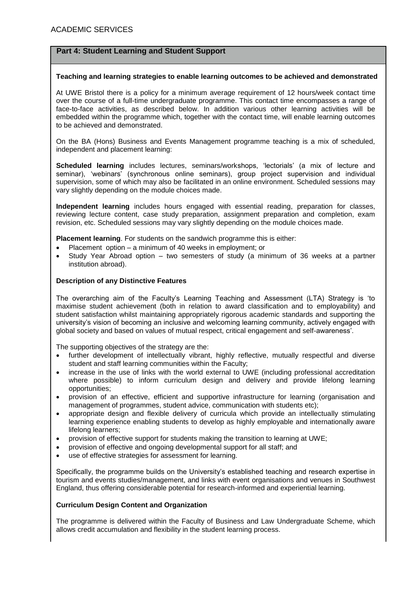#### **Teaching and learning strategies to enable learning outcomes to be achieved and demonstrated**

At UWE Bristol there is a policy for a minimum average requirement of 12 hours/week contact time over the course of a full-time undergraduate programme. This contact time encompasses a range of face-to-face activities, as described below. In addition various other learning activities will be embedded within the programme which, together with the contact time, will enable learning outcomes to be achieved and demonstrated.

On the BA (Hons) Business and Events Management programme teaching is a mix of scheduled, independent and placement learning:

**Scheduled learning** includes lectures, seminars/workshops, 'lectorials' (a mix of lecture and seminar), 'webinars' (synchronous online seminars), group project supervision and individual supervision, some of which may also be facilitated in an online environment. Scheduled sessions may vary slightly depending on the module choices made.

**Independent learning** includes hours engaged with essential reading, preparation for classes, reviewing lecture content, case study preparation, assignment preparation and completion, exam revision, etc. Scheduled sessions may vary slightly depending on the module choices made.

**Placement learning**. For students on the sandwich programme this is either:

- Placement option a minimum of 40 weeks in employment; or
- Study Year Abroad option two semesters of study (a minimum of 36 weeks at a partner institution abroad).

#### **Description of any Distinctive Features**

The overarching aim of the Faculty's Learning Teaching and Assessment (LTA) Strategy is 'to maximise student achievement (both in relation to award classification and to employability) and student satisfaction whilst maintaining appropriately rigorous academic standards and supporting the university's vision of becoming an inclusive and welcoming learning community, actively engaged with global society and based on values of mutual respect, critical engagement and self-awareness'.

The supporting objectives of the strategy are the:

- further development of intellectually vibrant, highly reflective, mutually respectful and diverse student and staff learning communities within the Faculty;
- increase in the use of links with the world external to UWE (including professional accreditation where possible) to inform curriculum design and delivery and provide lifelong learning opportunities;
- provision of an effective, efficient and supportive infrastructure for learning (organisation and management of programmes, student advice, communication with students etc);
- appropriate design and flexible delivery of curricula which provide an intellectually stimulating learning experience enabling students to develop as highly employable and internationally aware lifelong learners;
- provision of effective support for students making the transition to learning at UWE;
- provision of effective and ongoing developmental support for all staff; and
- use of effective strategies for assessment for learning.

Specifically, the programme builds on the University's established teaching and research expertise in tourism and events studies/management, and links with event organisations and venues in Southwest England, thus offering considerable potential for research-informed and experiential learning.

# **Curriculum Design Content and Organization**

The programme is delivered within the Faculty of Business and Law Undergraduate Scheme, which allows credit accumulation and flexibility in the student learning process.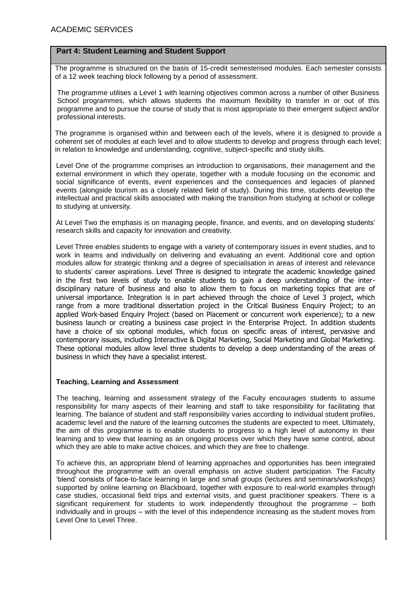The programme is structured on the basis of 15-credit semesterised modules. Each semester consists of a 12 week teaching block following by a period of assessment.

The programme utilises a Level 1 with learning objectives common across a number of other Business School programmes, which allows students the maximum flexibility to transfer in or out of this programme and to pursue the course of study that is most appropriate to their emergent subject and/or professional interests.

The programme is organised within and between each of the levels, where it is designed to provide a coherent set of modules at each level and to allow students to develop and progress through each level; in relation to knowledge and understanding, cognitive, subject-specific and study skills.

Level One of the programme comprises an introduction to organisations, their management and the external environment in which they operate, together with a module focusing on the economic and social significance of events, event experiences and the consequences and legacies of planned events (alongside tourism as a closely related field of study). During this time, students develop the intellectual and practical skills associated with making the transition from studying at school or college to studying at university.

At Level Two the emphasis is on managing people, finance, and events, and on developing students' research skills and capacity for innovation and creativity.

Level Three enables students to engage with a variety of contemporary issues in event studies, and to work in teams and individually on delivering and evaluating an event. Additional core and option modules allow for strategic thinking and a degree of specialisation in areas of interest and relevance to students' career aspirations. Level Three is designed to integrate the academic knowledge gained in the first two levels of study to enable students to gain a deep understanding of the interdisciplinary nature of business and also to allow them to focus on marketing topics that are of universal importance. Integration is in part achieved through the choice of Level 3 project, which range from a more traditional dissertation project in the Critical Business Enquiry Project; to an applied Work-based Enquiry Project (based on Placement or concurrent work experience); to a new business launch or creating a business case project in the Enterprise Project. In addition students have a choice of six optional modules, which focus on specific areas of interest, pervasive and contemporary issues, including Interactive & Digital Marketing, Social Marketing and Global Marketing. These optional modules allow level three students to develop a deep understanding of the areas of business in which they have a specialist interest.

## **Teaching, Learning and Assessment**

The teaching, learning and assessment strategy of the Faculty encourages students to assume responsibility for many aspects of their learning and staff to take responsibility for facilitating that learning. The balance of student and staff responsibility varies according to individual student profiles, academic level and the nature of the learning outcomes the students are expected to meet. Ultimately, the aim of this programme is to enable students to progress to a high level of autonomy in their learning and to view that learning as an ongoing process over which they have some control, about which they are able to make active choices, and which they are free to challenge.

To achieve this, an appropriate blend of learning approaches and opportunities has been integrated throughout the programme with an overall emphasis on active student participation. The Faculty 'blend' consists of face-to-face learning in large and small groups (lectures and seminars/workshops) supported by online learning on Blackboard, together with exposure to real-world examples through case studies, occasional field trips and external visits, and guest practitioner speakers. There is a significant requirement for students to work independently throughout the programme – both individually and in groups – with the level of this independence increasing as the student moves from Level One to Level Three.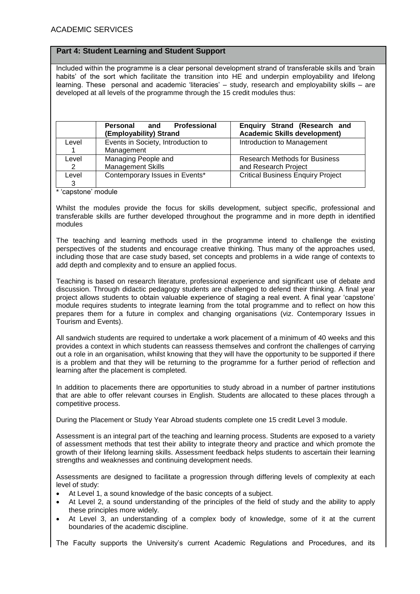Included within the programme is a clear personal development strand of transferable skills and 'brain habits' of the sort which facilitate the transition into HE and underpin employability and lifelong learning. These personal and academic 'literacies' – study, research and employability skills – are developed at all levels of the programme through the 15 credit modules thus:

|       | Professional<br>Personal<br>and<br>(Employability) Strand | Enquiry Strand (Research and<br><b>Academic Skills development)</b> |  |  |  |  |
|-------|-----------------------------------------------------------|---------------------------------------------------------------------|--|--|--|--|
| Level | Events in Society, Introduction to                        | Introduction to Management                                          |  |  |  |  |
|       | Management                                                |                                                                     |  |  |  |  |
| Level | Managing People and                                       | <b>Research Methods for Business</b>                                |  |  |  |  |
| 2     | <b>Management Skills</b>                                  | and Research Project                                                |  |  |  |  |
| Level | Contemporary Issues in Events*                            | <b>Critical Business Enquiry Project</b>                            |  |  |  |  |
| 3     |                                                           |                                                                     |  |  |  |  |

\* 'capstone' module

Whilst the modules provide the focus for skills development, subject specific, professional and transferable skills are further developed throughout the programme and in more depth in identified modules

The teaching and learning methods used in the programme intend to challenge the existing perspectives of the students and encourage creative thinking. Thus many of the approaches used, including those that are case study based, set concepts and problems in a wide range of contexts to add depth and complexity and to ensure an applied focus.

Teaching is based on research literature, professional experience and significant use of debate and discussion. Through didactic pedagogy students are challenged to defend their thinking. A final year project allows students to obtain valuable experience of staging a real event. A final year 'capstone' module requires students to integrate learning from the total programme and to reflect on how this prepares them for a future in complex and changing organisations (viz. Contemporary Issues in Tourism and Events).

All sandwich students are required to undertake a work placement of a minimum of 40 weeks and this provides a context in which students can reassess themselves and confront the challenges of carrying out a role in an organisation, whilst knowing that they will have the opportunity to be supported if there is a problem and that they will be returning to the programme for a further period of reflection and learning after the placement is completed.

In addition to placements there are opportunities to study abroad in a number of partner institutions that are able to offer relevant courses in English. Students are allocated to these places through a competitive process.

During the Placement or Study Year Abroad students complete one 15 credit Level 3 module.

Assessment is an integral part of the teaching and learning process. Students are exposed to a variety of assessment methods that test their ability to integrate theory and practice and which promote the growth of their lifelong learning skills. Assessment feedback helps students to ascertain their learning strengths and weaknesses and continuing development needs.

Assessments are designed to facilitate a progression through differing levels of complexity at each level of study:

- At Level 1, a sound knowledge of the basic concepts of a subject.
- At Level 2, a sound understanding of the principles of the field of study and the ability to apply these principles more widely.
- At Level 3, an understanding of a complex body of knowledge, some of it at the current boundaries of the academic discipline.

The Faculty supports the University's current Academic Regulations and Procedures, and its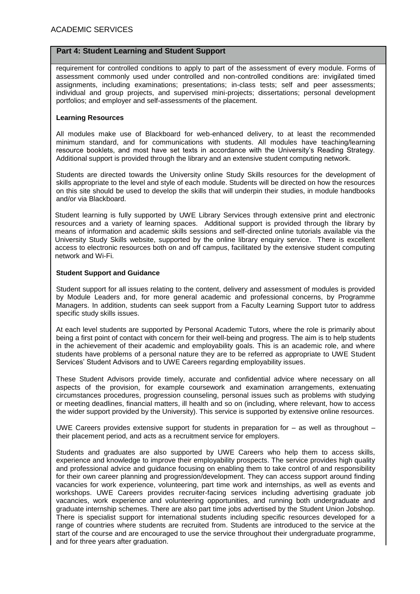requirement for controlled conditions to apply to part of the assessment of every module. Forms of assessment commonly used under controlled and non-controlled conditions are: invigilated timed assignments, including examinations; presentations; in-class tests; self and peer assessments; individual and group projects, and supervised mini-projects; dissertations; personal development portfolios; and employer and self-assessments of the placement.

#### **Learning Resources**

All modules make use of Blackboard for web-enhanced delivery, to at least the recommended minimum standard, and for communications with students. All modules have teaching/learning resource booklets, and most have set texts in accordance with the University's Reading Strategy. Additional support is provided through the library and an extensive student computing network.

Students are directed towards the University online Study Skills resources for the development of skills appropriate to the level and style of each module. Students will be directed on how the resources on this site should be used to develop the skills that will underpin their studies, in module handbooks and/or via Blackboard.

Student learning is fully supported by UWE Library Services through extensive print and electronic resources and a variety of learning spaces. Additional support is provided through the library by means of information and academic skills sessions and self-directed online tutorials available via the University Study Skills website, supported by the online library enquiry service. There is excellent access to electronic resources both on and off campus, facilitated by the extensive student computing network and Wi-Fi.

#### **Student Support and Guidance**

Student support for all issues relating to the content, delivery and assessment of modules is provided by Module Leaders and, for more general academic and professional concerns, by Programme Managers. In addition, students can seek support from a Faculty Learning Support tutor to address specific study skills issues.

At each level students are supported by Personal Academic Tutors, where the role is primarily about being a first point of contact with concern for their well-being and progress. The aim is to help students in the achievement of their academic and employability goals. This is an academic role, and where students have problems of a personal nature they are to be referred as appropriate to UWE Student Services' Student Advisors and to UWE Careers regarding employability issues.

These Student Advisors provide timely, accurate and confidential advice where necessary on all aspects of the provision, for example coursework and examination arrangements, extenuating circumstances procedures, progression counseling, personal issues such as problems with studying or meeting deadlines, financial matters, ill health and so on (including, where relevant, how to access the wider support provided by the University). This service is supported by extensive online resources.

UWE Careers provides extensive support for students in preparation for – as well as throughout – their placement period, and acts as a recruitment service for employers.

Students and graduates are also supported by UWE Careers who help them to access skills, experience and knowledge to improve their employability prospects. The service provides high quality and professional advice and guidance focusing on enabling them to take control of and responsibility for their own career planning and progression/development. They can access support around finding vacancies for work experience, volunteering, part time work and internships, as well as events and workshops. UWE Careers provides recruiter-facing services including advertising graduate job vacancies, work experience and volunteering opportunities, and running both undergraduate and graduate internship schemes. There are also part time jobs advertised by the Student Union Jobshop. There is specialist support for international students including specific resources developed for a range of countries where students are recruited from. Students are introduced to the service at the start of the course and are encouraged to use the service throughout their undergraduate programme, and for three years after graduation.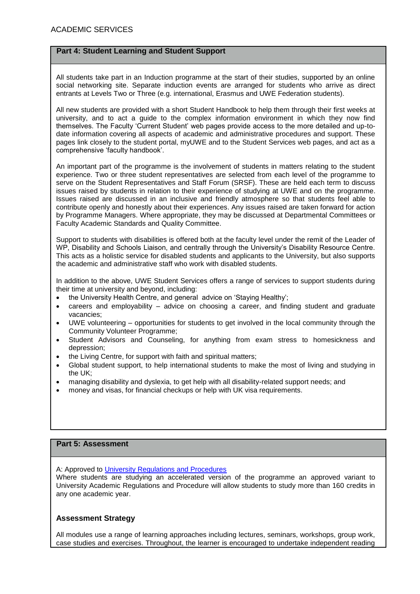All students take part in an Induction programme at the start of their studies, supported by an online social networking site. Separate induction events are arranged for students who arrive as direct entrants at Levels Two or Three (e.g. international, Erasmus and UWE Federation students).

All new students are provided with a short Student Handbook to help them through their first weeks at university, and to act a guide to the complex information environment in which they now find themselves. The Faculty 'Current Student' web pages provide access to the more detailed and up-todate information covering all aspects of academic and administrative procedures and support. These pages link closely to the student portal, myUWE and to the Student Services web pages, and act as a comprehensive 'faculty handbook'.

An important part of the programme is the involvement of students in matters relating to the student experience. Two or three student representatives are selected from each level of the programme to serve on the Student Representatives and Staff Forum (SRSF). These are held each term to discuss issues raised by students in relation to their experience of studying at UWE and on the programme. Issues raised are discussed in an inclusive and friendly atmosphere so that students feel able to contribute openly and honestly about their experiences. Any issues raised are taken forward for action by Programme Managers. Where appropriate, they may be discussed at Departmental Committees or Faculty Academic Standards and Quality Committee.

Support to students with disabilities is offered both at the faculty level under the remit of the Leader of WP, Disability and Schools Liaison, and centrally through the University's Disability Resource Centre. This acts as a holistic service for disabled students and applicants to the University, but also supports the academic and administrative staff who work with disabled students.

In addition to the above, UWE Student Services offers a range of services to support students during their time at university and beyond, including:

- the University Health Centre, and general advice on 'Staying Healthy';
- careers and employability advice on choosing a career, and finding student and graduate vacancies;
- UWE volunteering opportunities for students to get involved in the local community through the Community Volunteer Programme;
- Student Advisors and Counseling, for anything from exam stress to homesickness and depression;
- the Living Centre, for support with faith and spiritual matters;
- Global student support, to help international students to make the most of living and studying in the UK;
- managing disability and dyslexia, to get help with all disability-related support needs; and
- money and visas, for financial checkups or help with UK visa requirements.

# **Part 5: Assessment**

A: Approved to [University Regulations and Procedures](http://www1.uwe.ac.uk/students/academicadvice/assessments/regulationsandprocedures.aspx)

Where students are studying an accelerated version of the programme an approved variant to University Academic Regulations and Procedure will allow students to study more than 160 credits in any one academic year.

## **Assessment Strategy**

All modules use a range of learning approaches including lectures, seminars, workshops, group work, case studies and exercises. Throughout, the learner is encouraged to undertake independent reading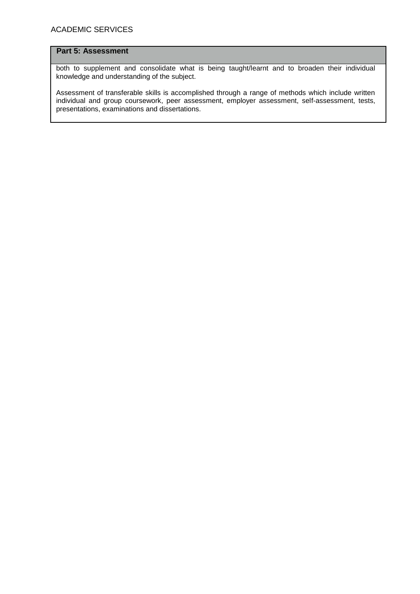# **Part 5: Assessment**

both to supplement and consolidate what is being taught/learnt and to broaden their individual knowledge and understanding of the subject.

Assessment of transferable skills is accomplished through a range of methods which include written individual and group coursework, peer assessment, employer assessment, self-assessment, tests, presentations, examinations and dissertations.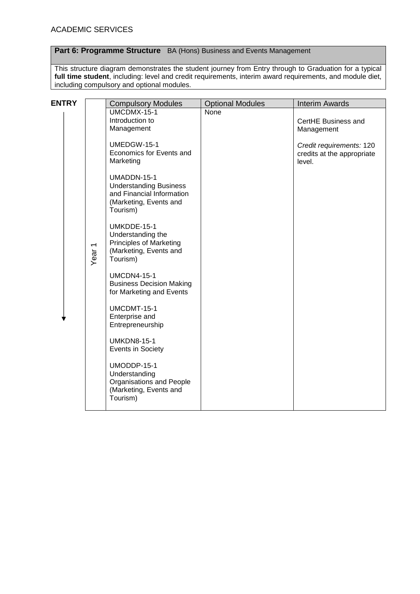# **Part 6: Programme Structure** BA (Hons) Business and Events Management

This structure diagram demonstrates the student journey from Entry through to Graduation for a typical **full time student**, including: level and credit requirements, interim award requirements, and module diet, including compulsory and optional modules.

| <b>ENTRY</b> |                   | <b>Compulsory Modules</b>                                                                                       | <b>Optional Modules</b> | <b>Interim Awards</b>                                            |
|--------------|-------------------|-----------------------------------------------------------------------------------------------------------------|-------------------------|------------------------------------------------------------------|
|              |                   | UMCDMX-15-1<br>Introduction to<br>Management                                                                    | None                    | CertHE Business and<br>Management                                |
|              |                   | UMEDGW-15-1<br>Economics for Events and<br>Marketing                                                            |                         | Credit requirements: 120<br>credits at the appropriate<br>level. |
|              |                   | UMADDN-15-1<br><b>Understanding Business</b><br>and Financial Information<br>(Marketing, Events and<br>Tourism) |                         |                                                                  |
|              | Year <sub>1</sub> | UMKDDE-15-1<br>Understanding the<br><b>Principles of Marketing</b><br>(Marketing, Events and<br>Tourism)        |                         |                                                                  |
|              |                   | <b>UMCDN4-15-1</b><br><b>Business Decision Making</b><br>for Marketing and Events                               |                         |                                                                  |
|              |                   | UMCDMT-15-1<br>Enterprise and<br>Entrepreneurship                                                               |                         |                                                                  |
|              |                   | <b>UMKDN8-15-1</b><br>Events in Society                                                                         |                         |                                                                  |
|              |                   | UMODDP-15-1<br>Understanding<br>Organisations and People<br>(Marketing, Events and<br>Tourism)                  |                         |                                                                  |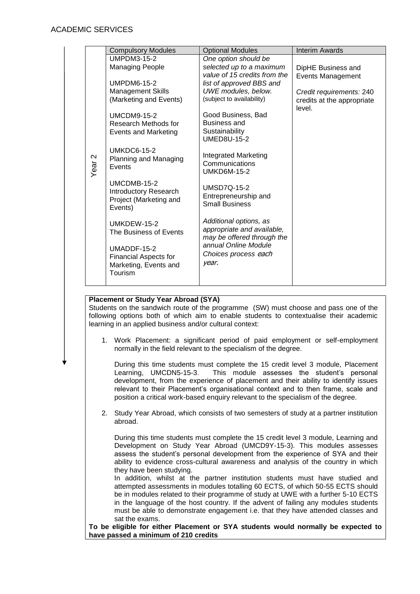|                   | <b>Compulsory Modules</b>         | <b>Optional Modules</b>                            | <b>Interim Awards</b>      |
|-------------------|-----------------------------------|----------------------------------------------------|----------------------------|
|                   | UMPDM3-15-2                       | One option should be                               |                            |
|                   | <b>Managing People</b>            | selected up to a maximum                           | DipHE Business and         |
|                   |                                   | value of 15 credits from the                       | <b>Events Management</b>   |
|                   | <b>UMPDM6-15-2</b>                | list of approved BBS and                           |                            |
|                   | <b>Management Skills</b>          | UWE modules, below.                                | Credit requirements: 240   |
|                   | (Marketing and Events)            | (subject to availability)                          | credits at the appropriate |
|                   | <b>UMCDM9-15-2</b>                | Good Business, Bad                                 | level.                     |
|                   | Research Methods for              | <b>Business and</b>                                |                            |
|                   | <b>Events and Marketing</b>       | Sustainability                                     |                            |
|                   |                                   | <b>UMED8U-15-2</b>                                 |                            |
|                   | <b>UMKDC6-15-2</b>                |                                                    |                            |
|                   | Planning and Managing             | <b>Integrated Marketing</b>                        |                            |
| Year <sub>2</sub> | Events                            | Communications<br><b>UMKD6M-15-2</b>               |                            |
|                   |                                   |                                                    |                            |
|                   | UMCDMB-15-2                       | <b>UMSD7Q-15-2</b>                                 |                            |
|                   | <b>Introductory Research</b>      | Entrepreneurship and                               |                            |
|                   | Project (Marketing and<br>Events) | <b>Small Business</b>                              |                            |
|                   |                                   |                                                    |                            |
|                   | UMKDEW-15-2                       | Additional options, as                             |                            |
|                   | The Business of Events            | appropriate and available,                         |                            |
|                   |                                   | may be offered through the<br>annual Online Module |                            |
|                   | UMADDF-15-2                       | Choices process each                               |                            |
|                   | <b>Financial Aspects for</b>      | year.                                              |                            |
|                   | Marketing, Events and<br>Tourism  |                                                    |                            |
|                   |                                   |                                                    |                            |
|                   |                                   |                                                    |                            |

## **Placement or Study Year Abroad (SYA)**

Students on the sandwich route of the programme (SW) must choose and pass one of the following options both of which aim to enable students to contextualise their academic learning in an applied business and/or cultural context:

1. Work Placement: a significant period of paid employment or self-employment normally in the field relevant to the specialism of the degree.

During this time students must complete the 15 credit level 3 module, Placement Learning, UMCDN5-15-3. This module assesses the student's personal development, from the experience of placement and their ability to identify issues relevant to their Placement's organisational context and to then frame, scale and position a critical work-based enquiry relevant to the specialism of the degree.

2. Study Year Abroad, which consists of two semesters of study at a partner institution abroad.

During this time students must complete the 15 credit level 3 module, Learning and Development on Study Year Abroad (UMCD9Y-15-3). This modules assesses assess the student's personal development from the experience of SYA and their ability to evidence cross-cultural awareness and analysis of the country in which they have been studying.

In addition, whilst at the partner institution students must have studied and attempted assessments in modules totalling 60 ECTS, of which 50-55 ECTS should be in modules related to their programme of study at UWE with a further 5-10 ECTS in the language of the host country. If the advent of failing any modules students must be able to demonstrate engagement i.e. that they have attended classes and sat the exams.

**To be eligible for either Placement or SYA students would normally be expected to have passed a minimum of 210 credits**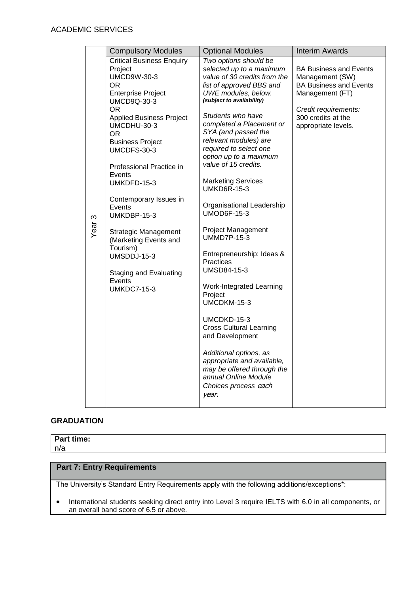|                   | <b>Compulsory Modules</b>                                                                                                                                                                                                                                                                                                                                                                                                                                                                                     | <b>Optional Modules</b>                                                                                                                                                                                                                                                                                                                                                                                                                                                                                                                                                                                                                                                                                                                                                                                                                   | <b>Interim Awards</b>                                                                                                                                                     |
|-------------------|---------------------------------------------------------------------------------------------------------------------------------------------------------------------------------------------------------------------------------------------------------------------------------------------------------------------------------------------------------------------------------------------------------------------------------------------------------------------------------------------------------------|-------------------------------------------------------------------------------------------------------------------------------------------------------------------------------------------------------------------------------------------------------------------------------------------------------------------------------------------------------------------------------------------------------------------------------------------------------------------------------------------------------------------------------------------------------------------------------------------------------------------------------------------------------------------------------------------------------------------------------------------------------------------------------------------------------------------------------------------|---------------------------------------------------------------------------------------------------------------------------------------------------------------------------|
| Year <sub>3</sub> | <b>Critical Business Enquiry</b><br>Project<br><b>UMCD9W-30-3</b><br>OR.<br><b>Enterprise Project</b><br><b>UMCD9Q-30-3</b><br><b>OR</b><br><b>Applied Business Project</b><br>UMCDHU-30-3<br><b>OR</b><br><b>Business Project</b><br>UMCDFS-30-3<br>Professional Practice in<br>Events<br>UMKDFD-15-3<br>Contemporary Issues in<br>Events<br>UMKDBP-15-3<br><b>Strategic Management</b><br>(Marketing Events and<br>Tourism)<br>UMSDDJ-15-3<br><b>Staging and Evaluating</b><br>Events<br><b>UMKDC7-15-3</b> | Two options should be<br>selected up to a maximum<br>value of 30 credits from the<br>list of approved BBS and<br>UWE modules, below.<br>(subject to availability)<br>Students who have<br>completed a Placement or<br>SYA (and passed the<br>relevant modules) are<br>required to select one<br>option up to a maximum<br>value of 15 credits.<br><b>Marketing Services</b><br><b>UMKD6R-15-3</b><br>Organisational Leadership<br><b>UMOD6F-15-3</b><br><b>Project Management</b><br><b>UMMD7P-15-3</b><br>Entrepreneurship: Ideas &<br>Practices<br>UMSD84-15-3<br>Work-Integrated Learning<br>Project<br>UMCDKM-15-3<br>UMCDKD-15-3<br><b>Cross Cultural Learning</b><br>and Development<br>Additional options, as<br>appropriate and available,<br>may be offered through the<br>annual Online Module<br>Choices process each<br>year. | <b>BA Business and Events</b><br>Management (SW)<br><b>BA Business and Events</b><br>Management (FT)<br>Credit requirements:<br>300 credits at the<br>appropriate levels. |

# **GRADUATION**

# **Part time:**

n/a

# **Part 7: Entry Requirements**

The University's Standard Entry Requirements apply with the following additions/exceptions\*:

• International students seeking direct entry into Level 3 require IELTS with 6.0 in all components, or an overall band score of 6.5 or above.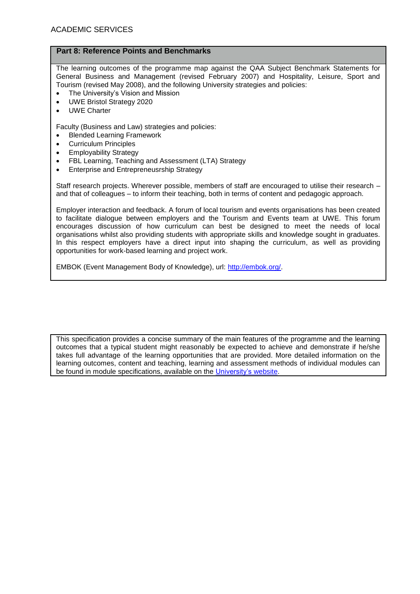# **Part 8: Reference Points and Benchmarks**

The learning outcomes of the programme map against the QAA Subject Benchmark Statements for General Business and Management (revised February 2007) and Hospitality, Leisure, Sport and Tourism (revised May 2008), and the following University strategies and policies:

- The University's Vision and Mission
- UWE Bristol Strategy 2020
- UWE Charter

Faculty (Business and Law) strategies and policies:

- [Blended Learning Framework](https://share.uwe.ac.uk/sites/bbs/prog/qa/UG%20Clustering%20Activities%201011/UG%20Redesign%20documents%20(all%20supporting%20docs)/FBL%20Strategy%20documents%20informing%20the%20UG%20Redesign/Blended%20Learning%20Framework.docx)
- [Curriculum Principles](https://share.uwe.ac.uk/sites/bbs/prog/qa/UG%20Clustering%20Activities%201011/UG%20Redesign%20documents%20(all%20supporting%20docs)/FBL%20Strategy%20documents%20informing%20the%20UG%20Redesign/Curriculum%20Principles.docx)
- [Employability Strategy](https://share.uwe.ac.uk/sites/bbs/prog/qa/UG%20Clustering%20Activities%201011/UG%20Redesign%20documents%20(all%20supporting%20docs)/FBL%20Strategy%20documents%20informing%20the%20UG%20Redesign/Employability%20Strategy.docx)
- [FBL Learning, Teaching and Assessment \(LTA\) Strategy](https://share.uwe.ac.uk/sites/bbs/prog/qa/UG%20Clustering%20Activities%201011/UG%20Redesign%20documents%20(all%20supporting%20docs)/FBL%20Strategy%20documents%20informing%20the%20UG%20Redesign/Faculty%20of%20Business%20and%20Law%20LTA%20Strategy.docx)
- Enterprise and Entrepreneusrship Strategy

Staff research projects. Wherever possible, members of staff are encouraged to utilise their research – and that of colleagues – to inform their teaching, both in terms of content and pedagogic approach.

Employer interaction and feedback. A forum of local tourism and events organisations has been created to facilitate dialogue between employers and the Tourism and Events team at UWE. This forum encourages discussion of how curriculum can best be designed to meet the needs of local organisations whilst also providing students with appropriate skills and knowledge sought in graduates. In this respect employers have a direct input into shaping the curriculum, as well as providing opportunities for work-based learning and project work.

EMBOK (Event Management Body of Knowledge), url: [http://embok.org/.](http://embok.org/)

This specification provides a concise summary of the main features of the programme and the learning outcomes that a typical student might reasonably be expected to achieve and demonstrate if he/she takes full advantage of the learning opportunities that are provided. More detailed information on the learning outcomes, content and teaching, learning and assessment methods of individual modules can be found in module specifications, available on the [University's](http://info.uwe.ac.uk/modules/) website.